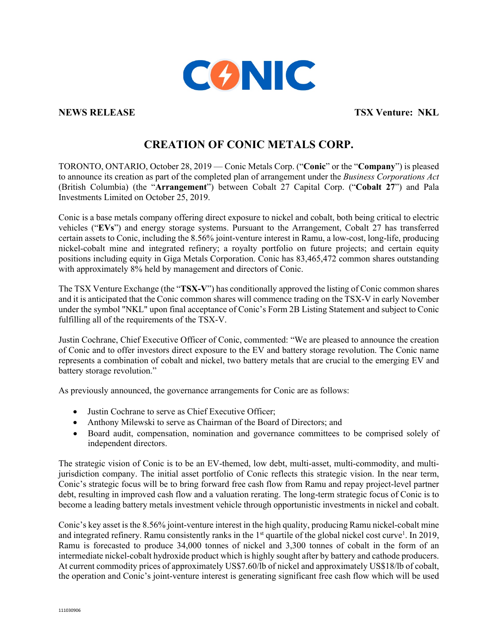

**NEWS RELEASE TSX Venture: NKL**

# **CREATION OF CONIC METALS CORP.**

TORONTO, ONTARIO, October 28, 2019 — Conic Metals Corp. ("**Conic**" or the "**Company**") is pleased to announce its creation as part of the completed plan of arrangement under the *Business Corporations Act* (British Columbia) (the "**Arrangement**") between Cobalt 27 Capital Corp. ("**Cobalt 27**") and Pala Investments Limited on October 25, 2019.

Conic is a base metals company offering direct exposure to nickel and cobalt, both being critical to electric vehicles ("**EVs**") and energy storage systems. Pursuant to the Arrangement, Cobalt 27 has transferred certain assets to Conic, including the 8.56% joint-venture interest in Ramu, a low-cost, long-life, producing nickel-cobalt mine and integrated refinery; a royalty portfolio on future projects; and certain equity positions including equity in Giga Metals Corporation. Conic has 83,465,472 common shares outstanding with approximately 8% held by management and directors of Conic.

The TSX Venture Exchange (the "**TSX-V**") has conditionally approved the listing of Conic common shares and it is anticipated that the Conic common shares will commence trading on the TSX-V in early November under the symbol "NKL" upon final acceptance of Conic's Form 2B Listing Statement and subject to Conic fulfilling all of the requirements of the TSX-V.

Justin Cochrane, Chief Executive Officer of Conic, commented: "We are pleased to announce the creation of Conic and to offer investors direct exposure to the EV and battery storage revolution. The Conic name represents a combination of cobalt and nickel, two battery metals that are crucial to the emerging EV and battery storage revolution."

As previously announced, the governance arrangements for Conic are as follows:

- Justin Cochrane to serve as Chief Executive Officer;
- Anthony Milewski to serve as Chairman of the Board of Directors; and
- Board audit, compensation, nomination and governance committees to be comprised solely of independent directors.

The strategic vision of Conic is to be an EV-themed, low debt, multi-asset, multi-commodity, and multijurisdiction company. The initial asset portfolio of Conic reflects this strategic vision. In the near term, Conic's strategic focus will be to bring forward free cash flow from Ramu and repay project-level partner debt, resulting in improved cash flow and a valuation rerating. The long-term strategic focus of Conic is to become a leading battery metals investment vehicle through opportunistic investments in nickel and cobalt.

Conic's key asset is the 8.56% joint-venture interest in the high quality, producing Ramu nickel-cobalt mine and integrated refinery. Ramu consistently ranks in the 1<sup>st</sup> quartile of the global nickel cost curve<sup>1</sup>. In 2019, Ramu is forecasted to produce 34,000 tonnes of nickel and 3,300 tonnes of cobalt in the form of an intermediate nickel-cobalt hydroxide product which is highly sought after by battery and cathode producers. At current commodity prices of approximately US\$7.60/lb of nickel and approximately US\$18/lb of cobalt, the operation and Conic's joint-venture interest is generating significant free cash flow which will be used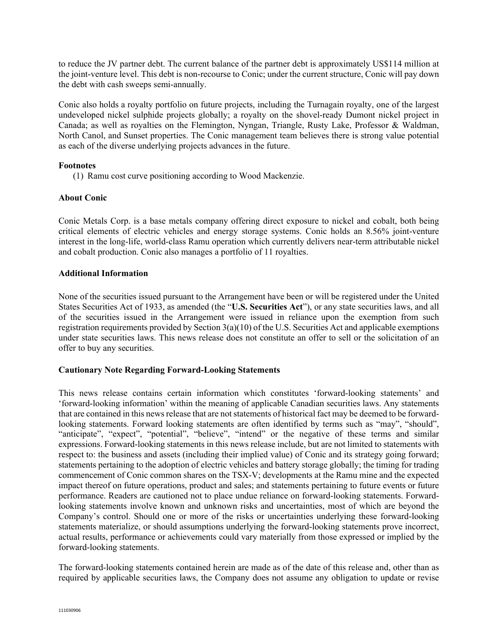to reduce the JV partner debt. The current balance of the partner debt is approximately US\$114 million at the joint-venture level. This debt is non-recourse to Conic; under the current structure, Conic will pay down the debt with cash sweeps semi-annually.

Conic also holds a royalty portfolio on future projects, including the Turnagain royalty, one of the largest undeveloped nickel sulphide projects globally; a royalty on the shovel-ready Dumont nickel project in Canada; as well as royalties on the Flemington, Nyngan, Triangle, Rusty Lake, Professor & Waldman, North Canol, and Sunset properties. The Conic management team believes there is strong value potential as each of the diverse underlying projects advances in the future.

## **Footnotes**

(1) Ramu cost curve positioning according to Wood Mackenzie.

## **About Conic**

Conic Metals Corp. is a base metals company offering direct exposure to nickel and cobalt, both being critical elements of electric vehicles and energy storage systems. Conic holds an 8.56% joint-venture interest in the long-life, world-class Ramu operation which currently delivers near-term attributable nickel and cobalt production. Conic also manages a portfolio of 11 royalties.

## **Additional Information**

None of the securities issued pursuant to the Arrangement have been or will be registered under the United States Securities Act of 1933, as amended (the "**U.S. Securities Act**"), or any state securities laws, and all of the securities issued in the Arrangement were issued in reliance upon the exemption from such registration requirements provided by Section 3(a)(10) of the U.S. Securities Act and applicable exemptions under state securities laws. This news release does not constitute an offer to sell or the solicitation of an offer to buy any securities.

## **Cautionary Note Regarding Forward-Looking Statements**

This news release contains certain information which constitutes 'forward-looking statements' and 'forward-looking information' within the meaning of applicable Canadian securities laws. Any statements that are contained in this news release that are not statements of historical fact may be deemed to be forwardlooking statements. Forward looking statements are often identified by terms such as "may", "should", "anticipate", "expect", "potential", "believe", "intend" or the negative of these terms and similar expressions. Forward-looking statements in this news release include, but are not limited to statements with respect to: the business and assets (including their implied value) of Conic and its strategy going forward; statements pertaining to the adoption of electric vehicles and battery storage globally; the timing for trading commencement of Conic common shares on the TSX-V; developments at the Ramu mine and the expected impact thereof on future operations, product and sales; and statements pertaining to future events or future performance. Readers are cautioned not to place undue reliance on forward-looking statements. Forwardlooking statements involve known and unknown risks and uncertainties, most of which are beyond the Company's control. Should one or more of the risks or uncertainties underlying these forward-looking statements materialize, or should assumptions underlying the forward-looking statements prove incorrect, actual results, performance or achievements could vary materially from those expressed or implied by the forward-looking statements.

The forward-looking statements contained herein are made as of the date of this release and, other than as required by applicable securities laws, the Company does not assume any obligation to update or revise